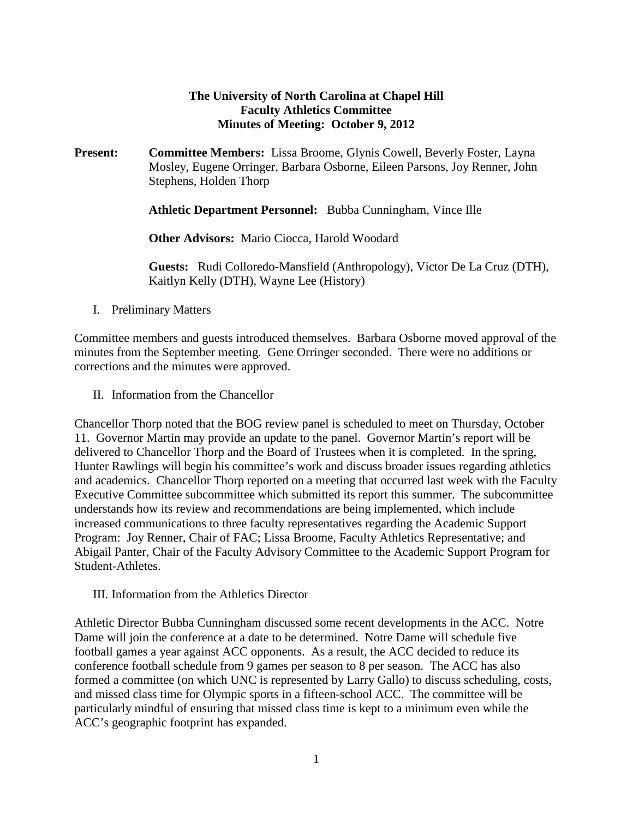#### **The University of North Carolina at Chapel Hill Faculty Athletics Committee Minutes of Meeting: October 9, 2012**

**Present: Committee Members:** Lissa Broome, Glynis Cowell, Beverly Foster, Layna Mosley, Eugene Orringer, Barbara Osborne, Eileen Parsons, Joy Renner, John Stephens, Holden Thorp

**Athletic Department Personnel:** Bubba Cunningham, Vince Ille

**Other Advisors:** Mario Ciocca, Harold Woodard

**Guests:** Rudi Colloredo-Mansfield (Anthropology), Victor De La Cruz (DTH), Kaitlyn Kelly (DTH), Wayne Lee (History)

I. Preliminary Matters

Committee members and guests introduced themselves. Barbara Osborne moved approval of the minutes from the September meeting. Gene Orringer seconded. There were no additions or corrections and the minutes were approved.

II. Information from the Chancellor

Chancellor Thorp noted that the BOG review panel is scheduled to meet on Thursday, October 11. Governor Martin may provide an update to the panel. Governor Martin's report will be delivered to Chancellor Thorp and the Board of Trustees when it is completed. In the spring, Hunter Rawlings will begin his committee's work and discuss broader issues regarding athletics and academics. Chancellor Thorp reported on a meeting that occurred last week with the Faculty Executive Committee subcommittee which submitted its report this summer. The subcommittee understands how its review and recommendations are being implemented, which include increased communications to three faculty representatives regarding the Academic Support Program: Joy Renner, Chair of FAC; Lissa Broome, Faculty Athletics Representative; and Abigail Panter, Chair of the Faculty Advisory Committee to the Academic Support Program for Student-Athletes.

III. Information from the Athletics Director

Athletic Director Bubba Cunningham discussed some recent developments in the ACC. Notre Dame will join the conference at a date to be determined. Notre Dame will schedule five football games a year against ACC opponents. As a result, the ACC decided to reduce its conference football schedule from 9 games per season to 8 per season. The ACC has also formed a committee (on which UNC is represented by Larry Gallo) to discuss scheduling, costs, and missed class time for Olympic sports in a fifteen-school ACC. The committee will be particularly mindful of ensuring that missed class time is kept to a minimum even while the ACC's geographic footprint has expanded.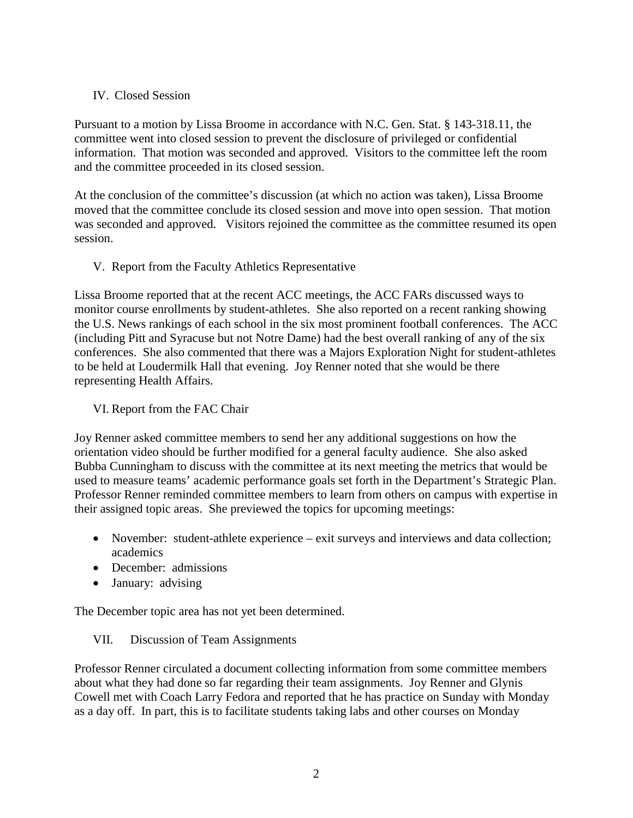#### IV. Closed Session

Pursuant to a motion by Lissa Broome in accordance with N.C. Gen. Stat. § 143-318.11, the committee went into closed session to prevent the disclosure of privileged or confidential information. That motion was seconded and approved. Visitors to the committee left the room and the committee proceeded in its closed session.

At the conclusion of the committee's discussion (at which no action was taken), Lissa Broome moved that the committee conclude its closed session and move into open session. That motion was seconded and approved. Visitors rejoined the committee as the committee resumed its open session.

#### V. Report from the Faculty Athletics Representative

Lissa Broome reported that at the recent ACC meetings, the ACC FARs discussed ways to monitor course enrollments by student-athletes. She also reported on a recent ranking showing the U.S. News rankings of each school in the six most prominent football conferences. The ACC (including Pitt and Syracuse but not Notre Dame) had the best overall ranking of any of the six conferences. She also commented that there was a Majors Exploration Night for student-athletes to be held at Loudermilk Hall that evening. Joy Renner noted that she would be there representing Health Affairs.

#### VI. Report from the FAC Chair

Joy Renner asked committee members to send her any additional suggestions on how the orientation video should be further modified for a general faculty audience. She also asked Bubba Cunningham to discuss with the committee at its next meeting the metrics that would be used to measure teams' academic performance goals set forth in the Department's Strategic Plan. Professor Renner reminded committee members to learn from others on campus with expertise in their assigned topic areas. She previewed the topics for upcoming meetings:

- November: student-athlete experience exit surveys and interviews and data collection; academics
- December: admissions
- January: advising

The December topic area has not yet been determined.

#### VII. Discussion of Team Assignments

Professor Renner circulated a document collecting information from some committee members about what they had done so far regarding their team assignments. Joy Renner and Glynis Cowell met with Coach Larry Fedora and reported that he has practice on Sunday with Monday as a day off. In part, this is to facilitate students taking labs and other courses on Monday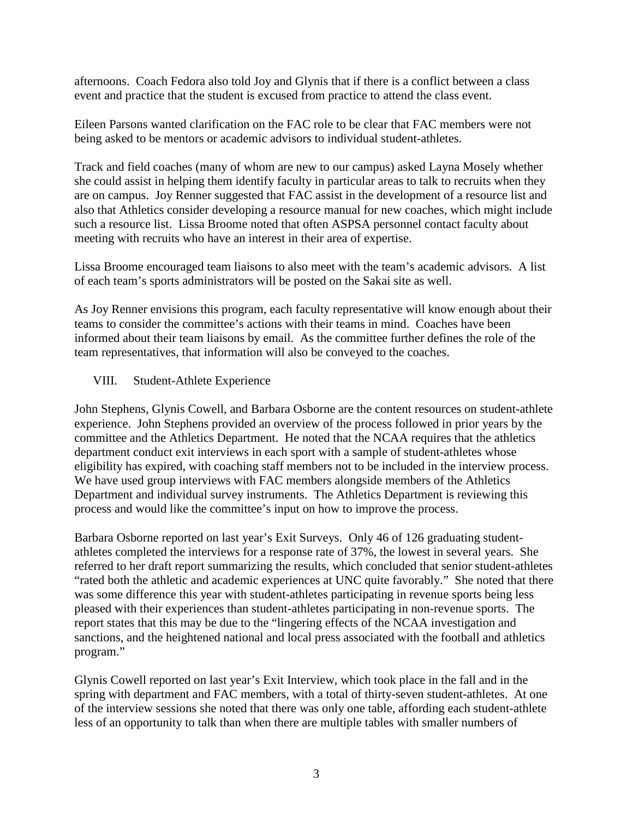afternoons. Coach Fedora also told Joy and Glynis that if there is a conflict between a class event and practice that the student is excused from practice to attend the class event.

Eileen Parsons wanted clarification on the FAC role to be clear that FAC members were not being asked to be mentors or academic advisors to individual student-athletes.

Track and field coaches (many of whom are new to our campus) asked Layna Mosely whether she could assist in helping them identify faculty in particular areas to talk to recruits when they are on campus. Joy Renner suggested that FAC assist in the development of a resource list and also that Athletics consider developing a resource manual for new coaches, which might include such a resource list. Lissa Broome noted that often ASPSA personnel contact faculty about meeting with recruits who have an interest in their area of expertise.

Lissa Broome encouraged team liaisons to also meet with the team's academic advisors. A list of each team's sports administrators will be posted on the Sakai site as well.

As Joy Renner envisions this program, each faculty representative will know enough about their teams to consider the committee's actions with their teams in mind. Coaches have been informed about their team liaisons by email. As the committee further defines the role of the team representatives, that information will also be conveyed to the coaches.

#### VIII. Student-Athlete Experience

John Stephens, Glynis Cowell, and Barbara Osborne are the content resources on student-athlete experience. John Stephens provided an overview of the process followed in prior years by the committee and the Athletics Department. He noted that the NCAA requires that the athletics department conduct exit interviews in each sport with a sample of student-athletes whose eligibility has expired, with coaching staff members not to be included in the interview process. We have used group interviews with FAC members alongside members of the Athletics Department and individual survey instruments. The Athletics Department is reviewing this process and would like the committee's input on how to improve the process.

Barbara Osborne reported on last year's Exit Surveys. Only 46 of 126 graduating studentathletes completed the interviews for a response rate of 37%, the lowest in several years. She referred to her draft report summarizing the results, which concluded that senior student-athletes "rated both the athletic and academic experiences at UNC quite favorably." She noted that there was some difference this year with student-athletes participating in revenue sports being less pleased with their experiences than student-athletes participating in non-revenue sports. The report states that this may be due to the "lingering effects of the NCAA investigation and sanctions, and the heightened national and local press associated with the football and athletics program."

Glynis Cowell reported on last year's Exit Interview, which took place in the fall and in the spring with department and FAC members, with a total of thirty-seven student-athletes. At one of the interview sessions she noted that there was only one table, affording each student-athlete less of an opportunity to talk than when there are multiple tables with smaller numbers of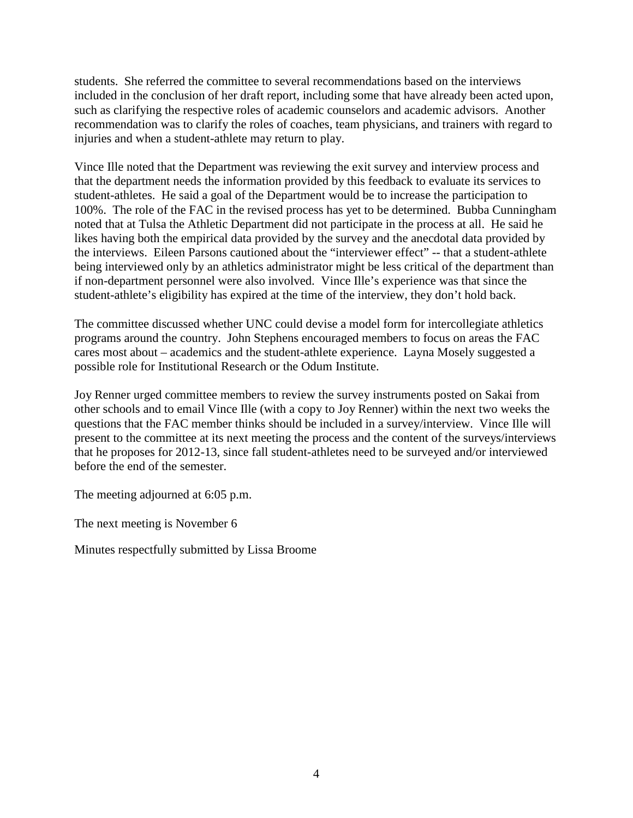students. She referred the committee to several recommendations based on the interviews included in the conclusion of her draft report, including some that have already been acted upon, such as clarifying the respective roles of academic counselors and academic advisors. Another recommendation was to clarify the roles of coaches, team physicians, and trainers with regard to injuries and when a student-athlete may return to play.

Vince Ille noted that the Department was reviewing the exit survey and interview process and that the department needs the information provided by this feedback to evaluate its services to student-athletes. He said a goal of the Department would be to increase the participation to 100%. The role of the FAC in the revised process has yet to be determined. Bubba Cunningham noted that at Tulsa the Athletic Department did not participate in the process at all. He said he likes having both the empirical data provided by the survey and the anecdotal data provided by the interviews. Eileen Parsons cautioned about the "interviewer effect" -- that a student-athlete being interviewed only by an athletics administrator might be less critical of the department than if non-department personnel were also involved. Vince Ille's experience was that since the student-athlete's eligibility has expired at the time of the interview, they don't hold back.

The committee discussed whether UNC could devise a model form for intercollegiate athletics programs around the country. John Stephens encouraged members to focus on areas the FAC cares most about – academics and the student-athlete experience. Layna Mosely suggested a possible role for Institutional Research or the Odum Institute.

Joy Renner urged committee members to review the survey instruments posted on Sakai from other schools and to email Vince Ille (with a copy to Joy Renner) within the next two weeks the questions that the FAC member thinks should be included in a survey/interview. Vince Ille will present to the committee at its next meeting the process and the content of the surveys/interviews that he proposes for 2012-13, since fall student-athletes need to be surveyed and/or interviewed before the end of the semester.

The meeting adjourned at 6:05 p.m.

The next meeting is November 6

Minutes respectfully submitted by Lissa Broome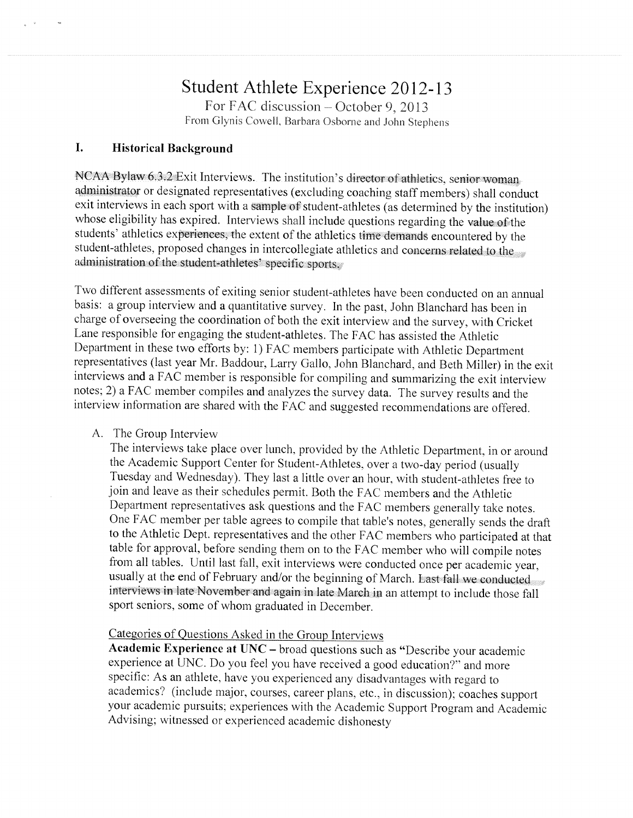# Student Athlete Experience 2012-13

For FAC discussion – October 9, 2013 From Glynis Cowell, Barbara Osborne and John Stephens

#### I. **Historical Background**

NCAA Bylaw 6.3.2 Exit Interviews. The institution's director of athletics, senior woman administrator or designated representatives (excluding coaching staff members) shall conduct exit interviews in each sport with a sample of student-athletes (as determined by the institution) whose eligibility has expired. Interviews shall include questions regarding the value of the students' athletics experiences, the extent of the athletics time demands encountered by the student-athletes, proposed changes in intercollegiate athletics and concerns related to the administration of the student-athletes' specific sports.

Two different assessments of exiting senior student-athletes have been conducted on an annual basis: a group interview and a quantitative survey. In the past, John Blanchard has been in charge of overseeing the coordination of both the exit interview and the survey, with Cricket Lane responsible for engaging the student-athletes. The FAC has assisted the Athletic Department in these two efforts by: 1) FAC members participate with Athletic Department representatives (last year Mr. Baddour, Larry Gallo, John Blanchard, and Beth Miller) in the exit interviews and a FAC member is responsible for compiling and summarizing the exit interview notes; 2) a FAC member compiles and analyzes the survey data. The survey results and the interview information are shared with the FAC and suggested recommendations are offered.

#### A. The Group Interview

The interviews take place over lunch, provided by the Athletic Department, in or around the Academic Support Center for Student-Athletes, over a two-day period (usually Tuesday and Wednesday). They last a little over an hour, with student-athletes free to join and leave as their schedules permit. Both the FAC members and the Athletic Department representatives ask questions and the FAC members generally take notes. One FAC member per table agrees to compile that table's notes, generally sends the draft to the Athletic Dept. representatives and the other FAC members who participated at that table for approval, before sending them on to the FAC member who will compile notes from all tables. Until last fall, exit interviews were conducted once per academic year, usually at the end of February and/or the beginning of March. Last fall we conducted interviews in late November and again in late March in an attempt to include those fall sport seniors, some of whom graduated in December.

#### Categories of Questions Asked in the Group Interviews

Academic Experience at UNC – broad questions such as "Describe your academic experience at UNC. Do you feel you have received a good education?" and more specific: As an athlete, have you experienced any disadvantages with regard to academics? (include major, courses, career plans, etc., in discussion); coaches support your academic pursuits; experiences with the Academic Support Program and Academic Advising; witnessed or experienced academic dishonesty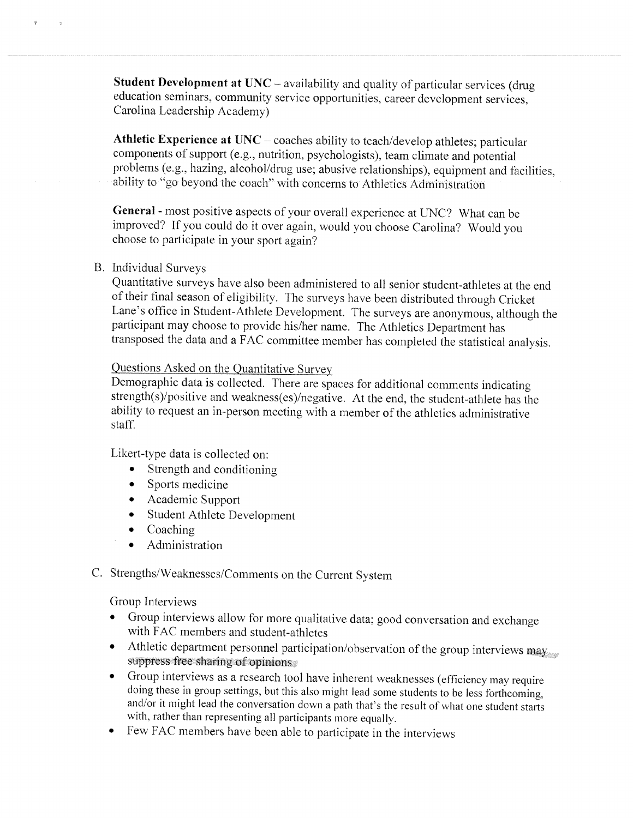Student Development at UNC – availability and quality of particular services (drug education seminars, community service opportunities, career development services, Carolina Leadership Academy)

Athletic Experience at  $UNC - coaches$  ability to teach/develop athletes; particular components of support (e.g., nutrition, psychologists), team climate and potential problems (e.g., hazing, alcohol/drug use; abusive relationships), equipment and facilities, ability to "go beyond the coach" with concerns to Athletics Administration

General - most positive aspects of your overall experience at UNC? What can be improved? If you could do it over again, would you choose Carolina? Would you choose to participate in your sport again?

#### **B.** Individual Surveys

Quantitative surveys have also been administered to all senior student-athletes at the end of their final season of eligibility. The surveys have been distributed through Cricket Lane's office in Student-Athlete Development. The surveys are anonymous, although the participant may choose to provide his/her name. The Athletics Department has transposed the data and a FAC committee member has completed the statistical analysis.

#### Questions Asked on the Quantitative Survey

Demographic data is collected. There are spaces for additional comments indicating strength(s)/positive and weakness(es)/negative. At the end, the student-athlete has the ability to request an in-person meeting with a member of the athletics administrative staff.

Likert-type data is collected on:

- Strength and conditioning
- Sports medicine
- Academic Support
- Student Athlete Development
- $\bullet$  Coaching
- Administration
- C. Strengths/Weaknesses/Comments on the Current System

Group Interviews

- Group interviews allow for more qualitative data; good conversation and exchange with FAC members and student-athletes
- Athletic department personnel participation/observation of the group interviews may suppress free sharing of opinions
- Group interviews as a research tool have inherent weaknesses (efficiency may require doing these in group settings, but this also might lead some students to be less forthcoming, and/or it might lead the conversation down a path that's the result of what one student starts with, rather than representing all participants more equally.
- Few FAC members have been able to participate in the interviews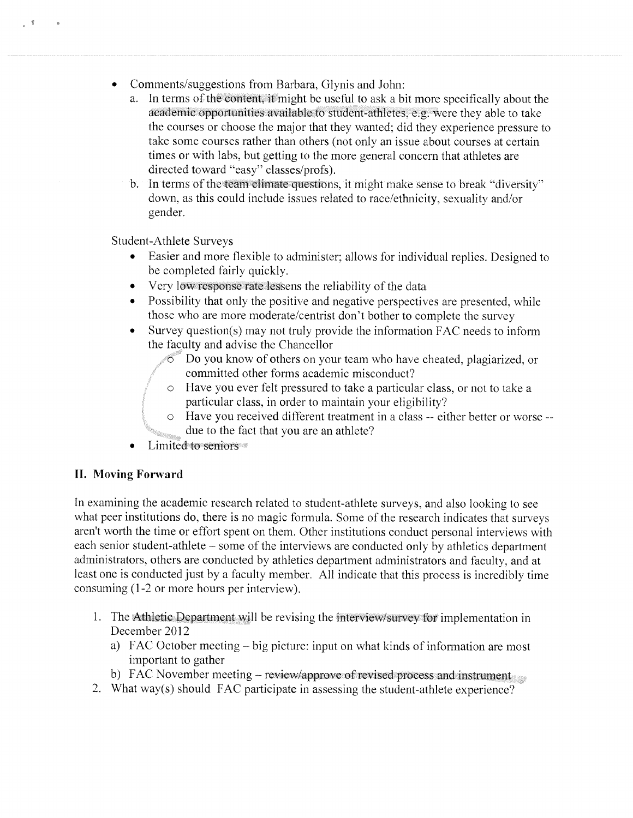- $\bullet$ Comments/suggestions from Barbara, Glynis and John:
	- a. In terms of the content, it might be useful to ask a bit more specifically about the academic opportunities available to student-athletes, e.g. were they able to take the courses or choose the major that they wanted; did they experience pressure to take some courses rather than others (not only an issue about courses at certain times or with labs, but getting to the more general concern that athletes are directed toward "easy" classes/profs).
	- b. In terms of the team climate questions, it might make sense to break "diversity" down, as this could include issues related to race/ethnicity, sexuality and/or gender.

Student-Athlete Surveys

 $\tilde{\mathcal{R}}$ 

- Easier and more flexible to administer; allows for individual replies. Designed to be completed fairly quickly.
- Very low response rate lessens the reliability of the data
- Possibility that only the positive and negative perspectives are presented, while those who are more moderate/centrist don't bother to complete the survey
- Survey question(s) may not truly provide the information FAC needs to inform  $\bullet$ the faculty and advise the Chancellor
	- $\circ$  Do you know of others on your team who have cheated, plagiarized, or committed other forms academic misconduct?
	- o Have you ever felt pressured to take a particular class, or not to take a particular class, in order to maintain your eligibility?
	- o Have you received different treatment in a class -- either better or worse -due to the fact that you are an athlete?
- Limited to seniors

#### **II. Moving Forward**

In examining the academic research related to student-athlete surveys, and also looking to see what peer institutions do, there is no magic formula. Some of the research indicates that surveys aren't worth the time or effort spent on them. Other institutions conduct personal interviews with each senior student-athlete – some of the interviews are conducted only by athletics department administrators, others are conducted by athletics department administrators and faculty, and at least one is conducted just by a faculty member. All indicate that this process is incredibly time consuming (1-2 or more hours per interview).

- 1. The Athletic Department will be revising the interview/survey for implementation in December 2012
	- a) FAC October meeting big picture: input on what kinds of information are most important to gather
	- b) FAC November meeting review/approve of revised process and instrument
- 2. What way(s) should FAC participate in assessing the student-athlete experience?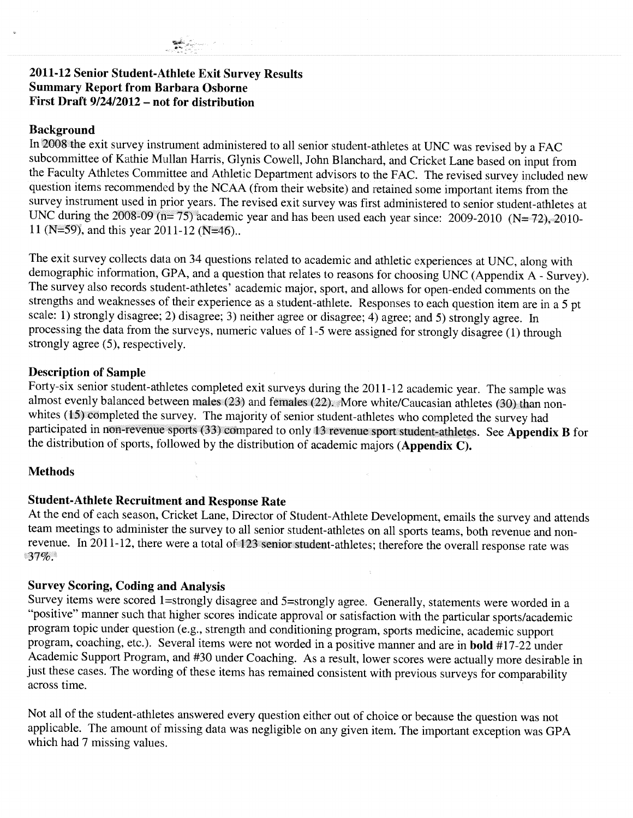# 2011-12 Senior Student-Athlete Exit Survey Results **Summary Report from Barbara Osborne**<br>First Draft 9/24/2012 – not for distribution

#### **Background**

In 2008 the exit survey instrument administered to all senior student-athletes at UNC was revised by a FAC subcommittee of Kathie Mullan Harris, Glynis Cowell, John Blanchard, and Cricket Lane based on input from<br>the Faculty Athletes Committee and Athletic Department advisors to the FAC. The revised survey included new<br>question survey instrument used in prior years. The revised exit survey was first administered to senior student-athletes at<br>UNC during the 2008-09 (n= 75) academic year and has been used each year since: 2009-2010 (N= 72), 2010-11 (N=59), and this year 2011-12 (N=46).

The exit survey collects data on 34 questions related to academic and athletic experiences at UNC, along with The extra sarvey concets data on 54 questions related to academic and atmetic experiences at UNC, along with<br>demographic information, GPA, and a question that relates to reasons for choosing UNC (Appendix A - Survey).<br>The strongly agree (5), respectively.

#### **Description of Sample**

Forty-six senior student-athletes completed exit surveys during the 2011-12 academic year. The sample was almost evenly balanced between males (23) and females (22). More white/Caucasian athletes (30) than nonwhites (15) completed the survey. The majority of senior student-athletes who completed the survey had<br>participated in non-revenue sports (33) compared to only 13 revenue sport student-athletes. See Appendix B for<br>the dist

#### **Methods**

### **Student-Athlete Recruitment and Response Rate**

At the end of each season, Cricket Lane, Director of Student-Athlete Development, emails the survey and attends team meetings to administer the survey to all senior student-athletes on all sports teams, both revenue and non-<br>revenue. In 2011-12, there were a total of 123 senior student-athletes; therefore the overall response rate w  $37%$ 

#### **Survey Scoring, Coding and Analysis**

Survey items were scored 1=strongly disagree and 5=strongly agree. Generally, statements were worded in a "positive" manner such that higher scores indicate approval or satisfaction with the particular sports/academic program topic under question (e.g., strength and conditioning program, sports medicine, academic support<br>program, coaching, etc.). Several items were not worded in a positive manner and are in **bold** #17-22 under Academic Support Program, and #30 under Coaching. As a result, lower scores were actually more desirable in just these cases. The wording of these items has remained consistent with previous surveys for comparability across time.

Not all of the student-athletes answered every question either out of choice or because the question was not applicable. The amount of missing data was negligible on any given item. The important exception was GPA which had 7 missing values.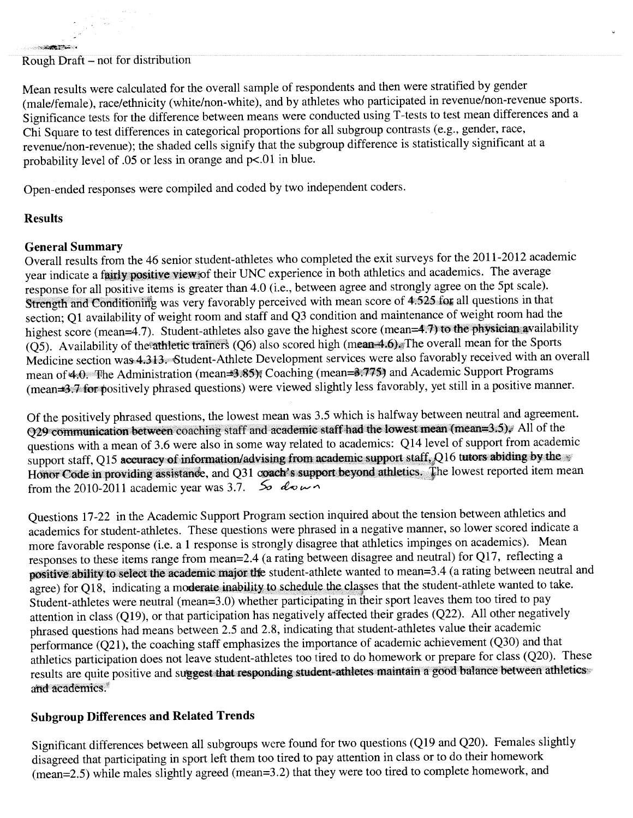Mean results were calculated for the overall sample of respondents and then were stratified by gender (male/female), race/ethnicity (white/non-white), and by athletes who participated in revenue/non-revenue sports. Significance tests for the difference between means were conducted using T-tests to test mean differences and a Chi Square to test differences in categorical proportions for all subgroup contrasts (e.g., gender, race, revenue/non-revenue); the shaded cells signify that the subgroup difference is statistically significant at a probability level of .05 or less in orange and p<.01 in blue.

Open-ended responses were compiled and coded by two independent coders.

### **Results**

<u> Andrew Ma</u>

#### **General Summary**

Overall results from the 46 senior student-athletes who completed the exit surveys for the 2011-2012 academic year indicate a fairly positive view of their UNC experience in both athletics and academics. The average response for all positive items is greater than 4.0 (i.e., between agree and strongly agree on the 5pt scale). Strength and Conditioning was very favorably perceived with mean score of 4.525 for all questions in that section; Q1 availability of weight room and staff and Q3 condition and maintenance of weight room had the highest score (mean=4.7). Student-athletes also gave the highest score (mean=4.7) to the physician availability  $(Q5)$ . Availability of the athletic trainers (Q6) also scored high (mean 4.6). The overall mean for the Sports Medicine section was 4.313. Student-Athlete Development services were also favorably received with an overall mean of 4.0. The Administration (mean=3.85), Coaching (mean=3.775) and Academic Support Programs (mean 3.7 for positively phrased questions) were viewed slightly less favorably, yet still in a positive manner.

Of the positively phrased questions, the lowest mean was 3.5 which is halfway between neutral and agreement. Q29 communication between coaching staff and academic staff had the lowest mean (mean=3.5). All of the questions with a mean of 3.6 were also in some way related to academics: Q14 level of support from academic support staff, Q15 accuracy of information/advising from academic support staff, Q16 tutors abiding by the Honor Code in providing assistance, and Q31 coach's support beyond athletics. The lowest reported item mean from the 2010-2011 academic year was 3.7.  $\leq_{\text{O}}$  do  $\sim$   $\sim$ 

Questions 17-22 in the Academic Support Program section inquired about the tension between athletics and academics for student-athletes. These questions were phrased in a negative manner, so lower scored indicate a more favorable response (i.e. a 1 response is strongly disagree that athletics impinges on academics). Mean responses to these items range from mean=2.4 (a rating between disagree and neutral) for Q17, reflecting a positive ability to select the academic major the student-athlete wanted to mean=3.4 (a rating between neutral and agree) for Q18, indicating a moderate inability to schedule the classes that the student-athlete wanted to take. Student-athletes were neutral (mean=3.0) whether participating in their sport leaves them too tired to pay attention in class (Q19), or that participation has negatively affected their grades (Q22). All other negatively phrased questions had means between 2.5 and 2.8, indicating that student-athletes value their academic performance  $(Q21)$ , the coaching staff emphasizes the importance of academic achievement  $(Q30)$  and that athletics participation does not leave student-athletes too tired to do homework or prepare for class (Q20). These results are quite positive and suggest that responding student-athletes maintain a good balance between athletics and academics.

#### **Subgroup Differences and Related Trends**

Significant differences between all subgroups were found for two questions (Q19 and Q20). Females slightly disagreed that participating in sport left them too tired to pay attention in class or to do their homework (mean=2.5) while males slightly agreed (mean=3.2) that they were too tired to complete homework, and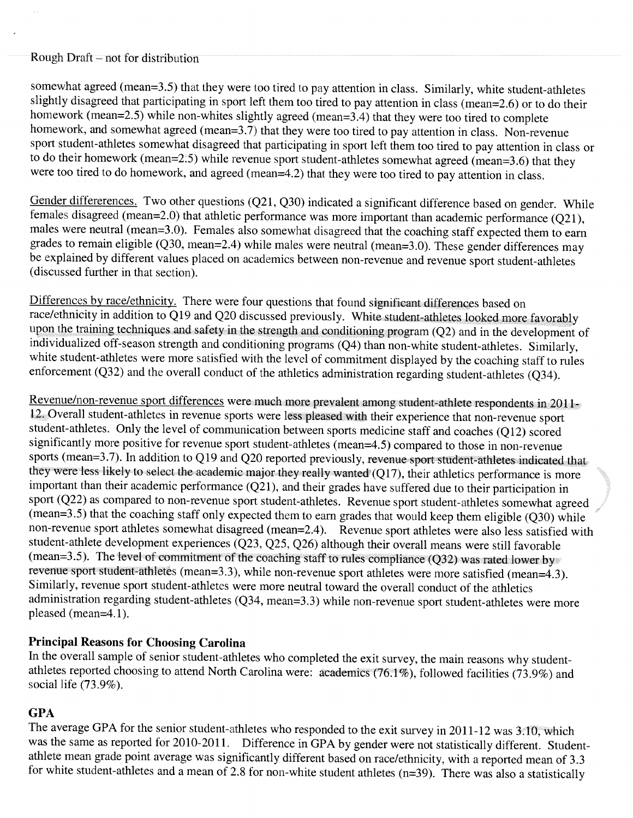somewhat agreed (mean=3.5) that they were too tired to pay attention in class. Similarly, white student-athletes slightly disagreed that participating in sport left them too tired to pay attention in class (mean=2.6) or to do their homework (mean=2.5) while non-whites slightly agreed (mean=3.4) that they were too tired to complete homework, and somewhat agreed (mean=3.7) that they were too tired to pay attention in class. Non-revenue sport student-athletes somewhat disagreed that participating in sport left them too tired to pay attention in class or to do their homework (mean=2.5) while revenue sport student-athletes somewhat agreed (mean=3.6) that they were too tired to do homework, and agreed (mean=4.2) that they were too tired to pay attention in class.

Gender differerences. Two other questions (Q21, Q30) indicated a significant difference based on gender. While females disagreed (mean=2.0) that athletic performance was more important than academic performance (Q21), males were neutral (mean=3.0). Females also somewhat disagreed that the coaching staff expected them to earn grades to remain eligible (Q30, mean=2.4) while males were neutral (mean=3.0). These gender differences may be explained by different values placed on academics between non-revenue and revenue sport student-athletes (discussed further in that section).

Differences by race/ethnicity. There were four questions that found significant differences based on race/ethnicity in addition to Q19 and Q20 discussed previously. White student-athletes looked more favorably upon the training techniques and safety in the strength and conditioning program  $(Q2)$  and in the development of individualized off-season strength and conditioning programs (Q4) than non-white student-athletes. Similarly, white student-athletes were more satisfied with the level of commitment displayed by the coaching staff to rules enforcement (Q32) and the overall conduct of the athletics administration regarding student-athletes (Q34).

Revenue/non-revenue sport differences were much more prevalent among student-athlete respondents in 2011-12. Overall student-athletes in revenue sports were less pleased with their experience that non-revenue sport student-athletes. Only the level of communication between sports medicine staff and coaches (Q12) scored significantly more positive for revenue sport student-athletes (mean=4.5) compared to those in non-revenue sports (mean=3.7). In addition to Q19 and Q20 reported previously, revenue sport student-athletes indicated that they were less likely to select the academic major they really wanted (Q17), their athletics performance is more important than their academic performance (Q21), and their grades have suffered due to their participation in sport (Q22) as compared to non-revenue sport student-athletes. Revenue sport student-athletes somewhat agreed  $(mean=3.5)$  that the coaching staff only expected them to earn grades that would keep them eligible  $(Q30)$  while non-revenue sport athletes somewhat disagreed (mean=2.4). Revenue sport athletes were also less satisfied with student-athlete development experiences (Q23, Q25, Q26) although their overall means were still favorable  $(mean=3.5)$ . The level of commitment of the coaching staff to rules compliance  $(Q32)$  was rated lower by revenue sport student-athletes (mean=3.3), while non-revenue sport athletes were more satisfied (mean=4.3). Similarly, revenue sport student-athletes were more neutral toward the overall conduct of the athletics administration regarding student-athletes (Q34, mean=3.3) while non-revenue sport student-athletes were more pleased (mean=4.1).

### **Principal Reasons for Choosing Carolina**

In the overall sample of senior student-athletes who completed the exit survey, the main reasons why studentathletes reported choosing to attend North Carolina were: academics (76.1%), followed facilities (73.9%) and social life  $(73.9\%)$ .

#### **GPA**

The average GPA for the senior student-athletes who responded to the exit survey in 2011-12 was 3.10, which was the same as reported for 2010-2011. Difference in GPA by gender were not statistically different. Studentathlete mean grade point average was significantly different based on race/ethnicity, with a reported mean of 3.3 for white student-athletes and a mean of 2.8 for non-white student athletes  $(n=39)$ . There was also a statistically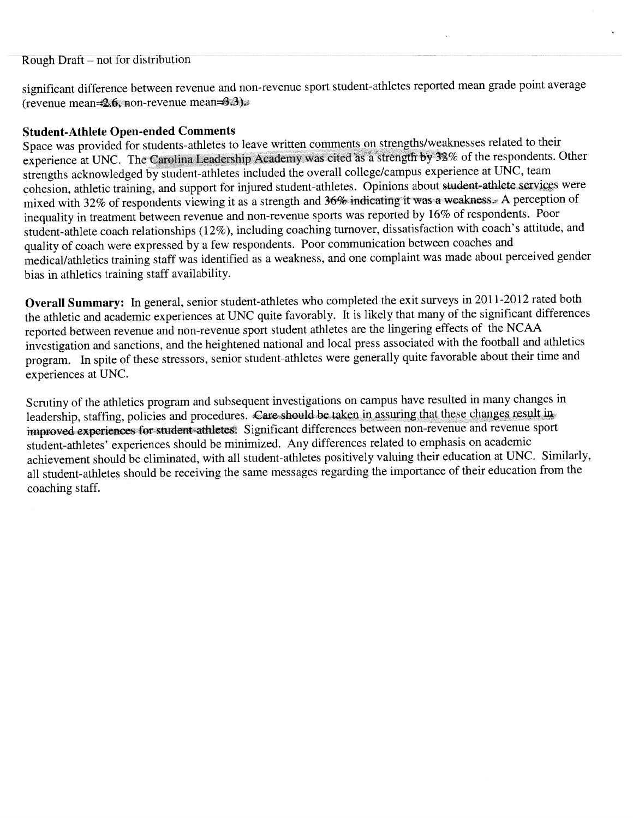significant difference between revenue and non-revenue sport student-athletes reported mean grade point average (revenue mean= $2.6$ , non-revenue mean= $3.3$ ).

#### **Student-Athlete Open-ended Comments**

Space was provided for students-athletes to leave written comments on strengths/weaknesses related to their experience at UNC. The Carolina Leadership Academy was cited as a strength by 32% of the respondents. Other strengths acknowledged by student-athletes included the overall college/campus experience at UNC, team cohesion, athletic training, and support for injured student-athletes. Opinions about student-athlete services were mixed with 32% of respondents viewing it as a strength and 36% indicating it was a weakness. A perception of inequality in treatment between revenue and non-revenue sports was reported by 16% of respondents. Poor student-athlete coach relationships (12%), including coaching turnover, dissatisfaction with coach's attitude, and quality of coach were expressed by a few respondents. Poor communication between coaches and medical/athletics training staff was identified as a weakness, and one complaint was made about perceived gender bias in athletics training staff availability.

Overall Summary: In general, senior student-athletes who completed the exit surveys in 2011-2012 rated both the athletic and academic experiences at UNC quite favorably. It is likely that many of the significant differences reported between revenue and non-revenue sport student athletes are the lingering effects of the NCAA investigation and sanctions, and the heightened national and local press associated with the football and athletics program. In spite of these stressors, senior student-athletes were generally quite favorable about their time and experiences at UNC.

Scrutiny of the athletics program and subsequent investigations on campus have resulted in many changes in leadership, staffing, policies and procedures. Care should be taken in assuring that these changes result in improved experiences for student-athletes. Significant differences between non-revenue and revenue sport student-athletes' experiences should be minimized. Any differences related to emphasis on academic achievement should be eliminated, with all student-athletes positively valuing their education at UNC. Similarly, all student-athletes should be receiving the same messages regarding the importance of their education from the coaching staff.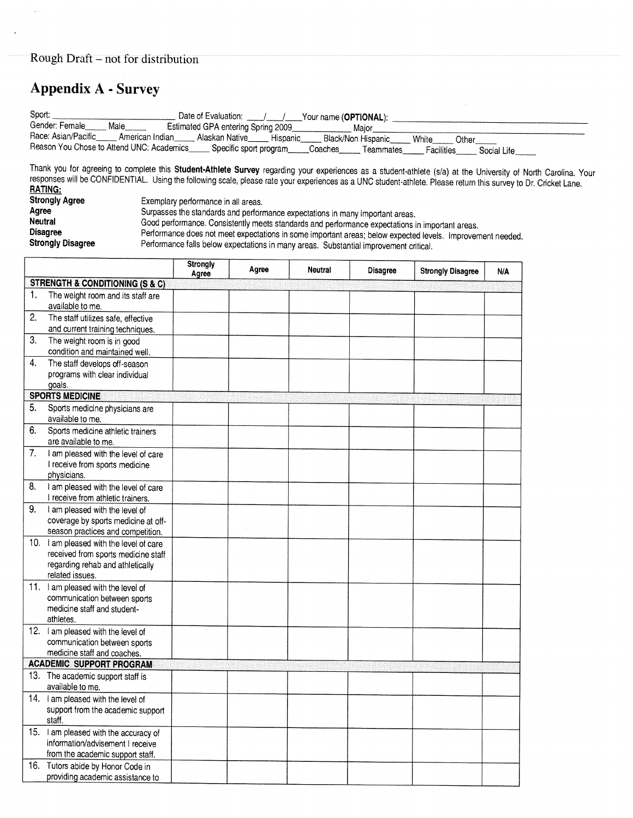# **Appendix A - Survey**

 $\bar{\bar{\mathbf{z}}}$ 

| Sport:<br>Gender: Female<br>Race: Asian/Pacific______ American Indian                           | Date of Evaluation: 1 /<br>Your name ( <b>OPTIONAL</b> );<br>Male<br>Estimated GPA entering Spring 2009<br>Maior<br>Alaskan Native Hispanic<br>Black/Non Hispanic<br>White<br>Other<br>Reason You Chose to Attend UNC: Academics_education Specific sport program<br>Coaches Teammates<br><b>Facilities</b><br>Social Life                                                                                                     |
|-------------------------------------------------------------------------------------------------|--------------------------------------------------------------------------------------------------------------------------------------------------------------------------------------------------------------------------------------------------------------------------------------------------------------------------------------------------------------------------------------------------------------------------------|
| <b>RATING:</b>                                                                                  | Thank you for agreeing to complete this Student-Athlete Survey regarding your experiences as a student-athlete (s/a) at the University of North Carolina. Your<br>responses will be CONFIDENTIAL. Using the following scale, please rate your experiences as a UNC student-athlete. Please return this survey to Dr. Cricket Lane.                                                                                             |
| <b>Strongly Agree</b><br>Agree<br><b>Neutral</b><br><b>Disagree</b><br><b>Strongly Disagree</b> | Exemplary performance in all areas.<br>Surpasses the standards and performance expectations in many important areas.<br>Good performance. Consistently meets standards and performance expectations in important areas.<br>Performance does not meet expectations in some important areas; below expected levels. Improvement needed.<br>Performance falls below expectations in many areas. Substantial improvement critical. |

 $\bar{z}$ 

|    |                                                                                                                                       | Strongly<br>Agree | Agree | Neutral | Disagree | <b>Strongly Disagree</b> | <b>N/A</b> |
|----|---------------------------------------------------------------------------------------------------------------------------------------|-------------------|-------|---------|----------|--------------------------|------------|
|    | <b>STRENGTH &amp; CONDITIONING (S &amp; C)</b>                                                                                        |                   |       |         |          |                          |            |
| 1. | The weight room and its staff are<br>available to me.                                                                                 |                   |       |         |          |                          |            |
| 2. | The staff utilizes safe, effective<br>and current training techniques.                                                                |                   |       |         |          |                          |            |
| 3. | The weight room is in good<br>condition and maintained well.                                                                          |                   |       |         |          |                          |            |
| 4. | The staff develops off-season<br>programs with clear individual<br>goals.                                                             |                   |       |         |          |                          |            |
|    | <b>SPORTS MEDICINE</b>                                                                                                                |                   |       |         |          |                          |            |
| 5. | Sports medicine physicians are<br>available to me.                                                                                    |                   |       |         |          |                          |            |
| 6. | Sports medicine athletic trainers<br>are available to me.                                                                             |                   |       |         |          |                          |            |
| 7. | I am pleased with the level of care<br>I receive from sports medicine<br>physicians.                                                  |                   |       |         |          |                          |            |
| 8. | I am pleased with the level of care<br>I receive from athletic trainers.                                                              |                   |       |         |          |                          |            |
| 9. | I am pleased with the level of<br>coverage by sports medicine at off-<br>season practices and competition.                            |                   |       |         |          |                          |            |
|    | 10. I am pleased with the level of care<br>received from sports medicine staff<br>regarding rehab and athletically<br>related issues. |                   |       |         |          |                          |            |
|    | 11. I am pleased with the level of<br>communication between sports<br>medicine staff and student-<br>athletes.                        |                   |       |         |          |                          |            |
|    | 12. I am pleased with the level of<br>communication between sports<br>medicine staff and coaches.                                     |                   |       |         |          |                          |            |
|    | <b>ACADEMIC SUPPORT PROGRAM</b>                                                                                                       |                   |       |         |          |                          |            |
|    | 13. The academic support staff is<br>available to me.                                                                                 |                   |       |         |          |                          |            |
|    | 14. I am pleased with the level of<br>support from the academic support<br>staff.                                                     |                   |       |         |          |                          |            |
|    | 15. I am pleased with the accuracy of<br>information/advisement I receive<br>from the academic support staff.                         |                   |       |         |          |                          |            |
|    | 16. Tutors abide by Honor Code in<br>providing academic assistance to                                                                 |                   |       |         |          |                          |            |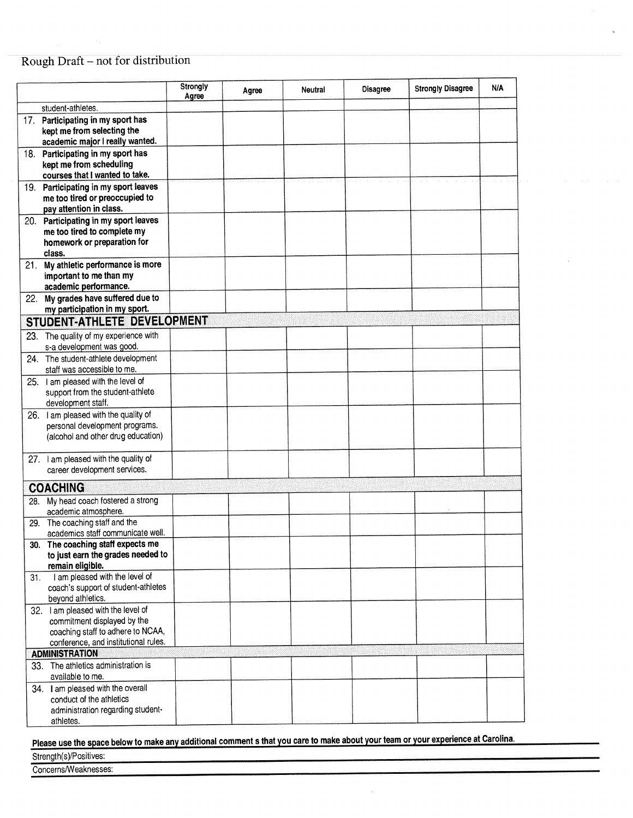|     |                                                                                                                                                | Strongly<br>Agree | Agree | <b>Neutral</b> | <b>Disagree</b> | <b>Strongly Disagree</b> | N/A |
|-----|------------------------------------------------------------------------------------------------------------------------------------------------|-------------------|-------|----------------|-----------------|--------------------------|-----|
|     | student-athletes.                                                                                                                              |                   |       |                |                 |                          |     |
|     | 17. Participating in my sport has<br>kept me from selecting the<br>academic major I really wanted.                                             |                   |       |                |                 |                          |     |
|     | 18. Participating in my sport has<br>kept me from scheduling<br>courses that I wanted to take.                                                 |                   |       |                |                 |                          |     |
|     | 19. Participating in my sport leaves<br>me too tired or preoccupied to<br>pay attention in class.                                              |                   |       |                |                 |                          |     |
|     | 20. Participating in my sport leaves<br>me too tired to complete my<br>homework or preparation for<br>class.                                   |                   |       |                |                 |                          |     |
|     | 21. My athletic performance is more<br>important to me than my<br>academic performance.                                                        |                   |       |                |                 |                          |     |
|     | 22. My grades have suffered due to                                                                                                             |                   |       |                |                 |                          |     |
|     | my participation in my sport.<br>STUDENT-ATHLETE DEVELOPMENT                                                                                   |                   |       |                |                 |                          |     |
| 23. | The quality of my experience with                                                                                                              |                   |       |                |                 |                          |     |
|     | s-a development was good.                                                                                                                      |                   |       |                |                 |                          |     |
|     | 24. The student-athlete development<br>staff was accessible to me.                                                                             |                   |       |                |                 |                          |     |
|     | 25. I am pleased with the level of<br>support from the student-athlete<br>development staff.                                                   |                   |       |                |                 |                          |     |
|     | 26. I am pleased with the quality of<br>personal development programs.<br>(alcohol and other drug education)                                   |                   |       |                |                 |                          |     |
| 27. | I am pleased with the quality of<br>career development services.                                                                               |                   |       |                |                 |                          |     |
|     | <b>COACHING</b>                                                                                                                                |                   |       |                |                 |                          |     |
| 28. | My head coach fostered a strong<br>academic atmosphere.                                                                                        |                   |       |                |                 |                          |     |
| 29. | The coaching staff and the<br>academics staff communicate well.                                                                                |                   |       |                |                 |                          |     |
|     | 30. The coaching staff expects me<br>to just earn the grades needed to<br>remain eligible.                                                     |                   |       |                |                 |                          |     |
| 31. | I am pleased with the level of<br>coach's support of student-athletes<br>beyond athletics.                                                     |                   |       |                |                 |                          |     |
|     | 32. I am pleased with the level of<br>commitment displayed by the<br>coaching staff to adhere to NCAA,<br>conference, and institutional rules. |                   |       |                |                 |                          |     |
|     | <b>ADMINISTRATION</b><br>33. The athletics administration is                                                                                   |                   |       |                |                 |                          |     |
|     | available to me.                                                                                                                               |                   |       |                |                 |                          |     |
|     | 34. I am pleased with the overall<br>conduct of the athletics<br>administration regarding student-<br>athletes.                                |                   |       |                |                 |                          |     |

Please use the space below to make any additional comment s that you care to make about your team or your experience at Carolina.

Strength(s)/Positives:

Concerns/Weaknesses: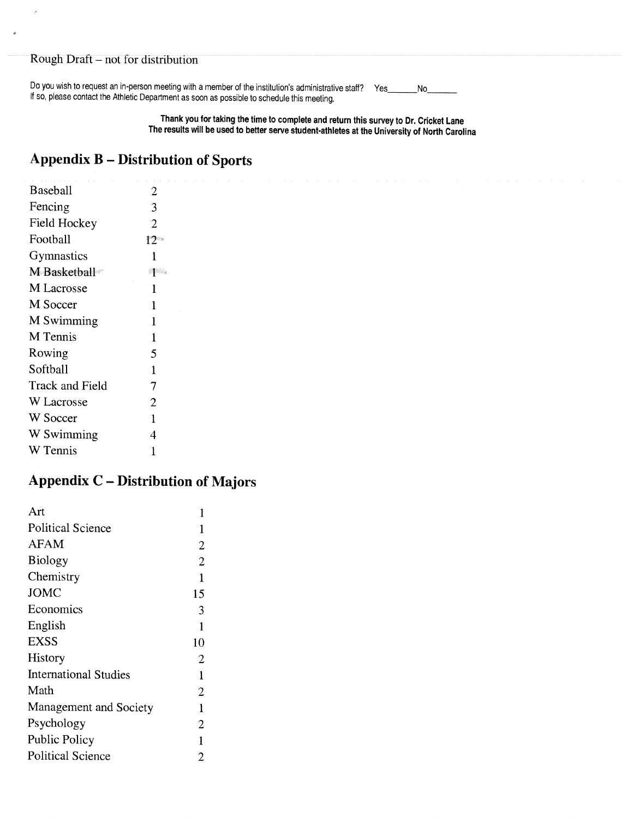$\lambda$ 

 $\frac{1}{2}$ 

Do you wish to request an in-person meeting with a member of the institution's administrative staff? Yes  $N_0$ If so, please contact the Athletic Department as soon as possible to schedule this meeting.

> Thank you for taking the time to complete and return this survey to Dr. Cricket Lane The results will be used to better serve student-athletes at the University of North Carolina

## **Appendix B - Distribution of Sports**

| $\overline{2}$   |
|------------------|
| 3                |
| $\overline{2}$   |
| $12\,^{\circ}$   |
| 1                |
| pin <sub>a</sub> |
| 1                |
| 1                |
| 1                |
| 1                |
| 5                |
| $\mathbf{1}$     |
| 7                |
| $\overline{2}$   |
| $\mathbf{1}$     |
| 4                |
| 1                |
|                  |

# **Appendix C - Distribution of Majors**

| Art                          | 1              |
|------------------------------|----------------|
| <b>Political Science</b>     | 1              |
| AFAM                         | $\overline{2}$ |
| <b>Biology</b>               | $\overline{2}$ |
| Chemistry                    | $\mathbf{1}$   |
| <b>JOMC</b>                  | 15             |
| Economics                    | 3              |
| English                      | 1              |
| EXSS                         | 10             |
| History                      | $\overline{2}$ |
| <b>International Studies</b> | 1              |
| Math                         | $\overline{2}$ |
| Management and Society       | 1              |
| Psychology                   | $\overline{2}$ |
| Public Policy                | 1              |
| <b>Political Science</b>     | 2              |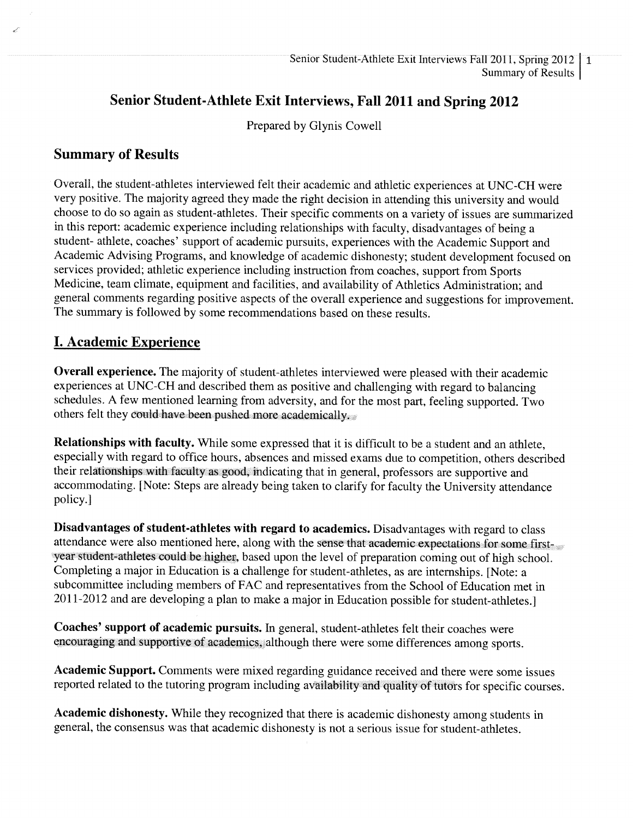# Senior Student-Athlete Exit Interviews, Fall 2011 and Spring 2012

Prepared by Glynis Cowell

### **Summary of Results**

Overall, the student-athletes interviewed felt their academic and athletic experiences at UNC-CH were very positive. The majority agreed they made the right decision in attending this university and would choose to do so again as student-athletes. Their specific comments on a variety of issues are summarized in this report: academic experience including relationships with faculty, disadvantages of being a student- athlete, coaches' support of academic pursuits, experiences with the Academic Support and Academic Advising Programs, and knowledge of academic dishonesty; student development focused on services provided; athletic experience including instruction from coaches, support from Sports Medicine, team climate, equipment and facilities, and availability of Athletics Administration; and general comments regarding positive aspects of the overall experience and suggestions for improvement. The summary is followed by some recommendations based on these results.

### **I. Academic Experience**

**Overall experience.** The majority of student-athletes interviewed were pleased with their academic experiences at UNC-CH and described them as positive and challenging with regard to balancing schedules. A few mentioned learning from adversity, and for the most part, feeling supported. Two others felt they could have been pushed more academically.

Relationships with faculty. While some expressed that it is difficult to be a student and an athlete, especially with regard to office hours, absences and missed exams due to competition, others described their relationships with faculty as good, indicating that in general, professors are supportive and accommodating. [Note: Steps are already being taken to clarify for faculty the University attendance policy.]

Disadvantages of student-athletes with regard to academics. Disadvantages with regard to class attendance were also mentioned here, along with the sense that academic expectations for some firstyear student-athletes could be higher, based upon the level of preparation coming out of high school. Completing a major in Education is a challenge for student-athletes, as are internships. [Note: a subcommittee including members of FAC and representatives from the School of Education met in 2011-2012 and are developing a plan to make a major in Education possible for student-athletes.]

Coaches' support of academic pursuits. In general, student-athletes felt their coaches were encouraging and supportive of academics, although there were some differences among sports.

Academic Support. Comments were mixed regarding guidance received and there were some issues reported related to the tutoring program including availability and quality of tutors for specific courses.

Academic dishonesty. While they recognized that there is academic dishonesty among students in general, the consensus was that academic dishonesty is not a serious issue for student-athletes.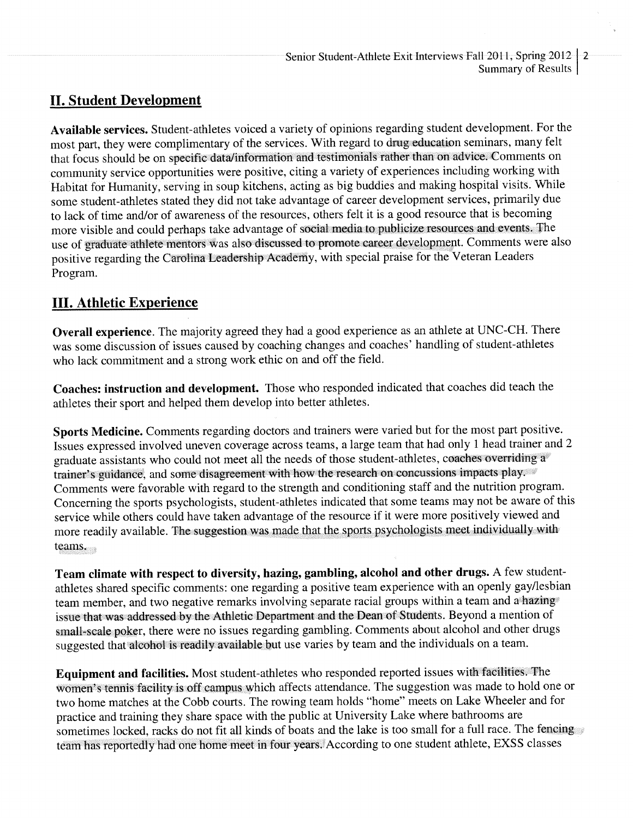### **II. Student Development**

Available services. Student-athletes voiced a variety of opinions regarding student development. For the most part, they were complimentary of the services. With regard to drug education seminars, many felt that focus should be on specific data/information and testimonials rather than on advice. Comments on community service opportunities were positive, citing a variety of experiences including working with Habitat for Humanity, serving in soup kitchens, acting as big buddies and making hospital visits. While some student-athletes stated they did not take advantage of career development services, primarily due to lack of time and/or of awareness of the resources, others felt it is a good resource that is becoming more visible and could perhaps take advantage of social media to publicize resources and events. The use of graduate athlete mentors was also discussed to promote career development. Comments were also positive regarding the Carolina Leadership Academy, with special praise for the Veteran Leaders Program.

# **III. Athletic Experience**

Overall experience. The majority agreed they had a good experience as an athlete at UNC-CH. There was some discussion of issues caused by coaching changes and coaches' handling of student-athletes who lack commitment and a strong work ethic on and off the field.

Coaches: instruction and development. Those who responded indicated that coaches did teach the athletes their sport and helped them develop into better athletes.

Sports Medicine. Comments regarding doctors and trainers were varied but for the most part positive. Issues expressed involved uneven coverage across teams, a large team that had only 1 head trainer and 2 graduate assistants who could not meet all the needs of those student-athletes, coaches overriding a trainer's guidance, and some disagreement with how the research on concussions impacts play. Comments were favorable with regard to the strength and conditioning staff and the nutrition program. Concerning the sports psychologists, student-athletes indicated that some teams may not be aware of this service while others could have taken advantage of the resource if it were more positively viewed and more readily available. The suggestion was made that the sports psychologists meet individually with teams.

Team climate with respect to diversity, hazing, gambling, alcohol and other drugs. A few studentathletes shared specific comments: one regarding a positive team experience with an openly gay/lesbian team member, and two negative remarks involving separate racial groups within a team and a hazing issue that was addressed by the Athletic Department and the Dean of Students. Beyond a mention of small-scale poker, there were no issues regarding gambling. Comments about alcohol and other drugs suggested that alcohol is readily available but use varies by team and the individuals on a team.

Equipment and facilities. Most student-athletes who responded reported issues with facilities. The women's tennis facility is off campus which affects attendance. The suggestion was made to hold one or two home matches at the Cobb courts. The rowing team holds "home" meets on Lake Wheeler and for practice and training they share space with the public at University Lake where bathrooms are sometimes locked, racks do not fit all kinds of boats and the lake is too small for a full race. The fencing team has reportedly had one home meet in four years. According to one student athlete, EXSS classes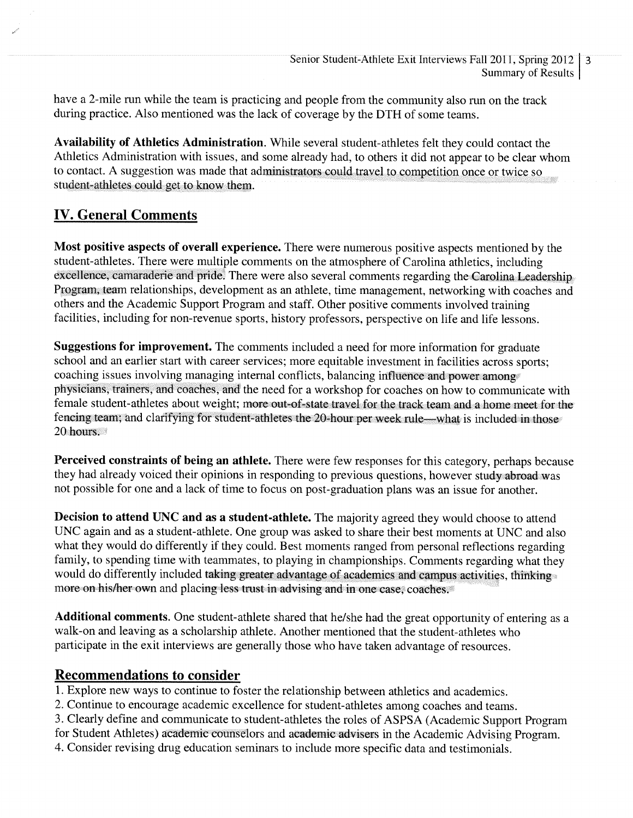have a 2-mile run while the team is practicing and people from the community also run on the track during practice. Also mentioned was the lack of coverage by the DTH of some teams.

Availability of Athletics Administration. While several student-athletes felt they could contact the Athletics Administration with issues, and some already had, to others it did not appear to be clear whom to contact. A suggestion was made that administrators could travel to competition once or twice so student-athletes could get to know them.

# **IV. General Comments**

Most positive aspects of overall experience. There were numerous positive aspects mentioned by the student-athletes. There were multiple comments on the atmosphere of Carolina athletics, including excellence, camaraderie and pride. There were also several comments regarding the Carolina Leadership Program, team relationships, development as an athlete, time management, networking with coaches and others and the Academic Support Program and staff. Other positive comments involved training facilities, including for non-revenue sports, history professors, perspective on life and life lessons.

Suggestions for improvement. The comments included a need for more information for graduate school and an earlier start with career services; more equitable investment in facilities across sports; coaching issues involving managing internal conflicts, balancing influence and power among physicians, trainers, and coaches, and the need for a workshop for coaches on how to communicate with female student-athletes about weight; more out-of-state travel for the track team and a home meet for the fencing team; and clarifying for student-athletes the 20-hour per week rule—what is included in those 20 hours.

Perceived constraints of being an athlete. There were few responses for this category, perhaps because they had already voiced their opinions in responding to previous questions, however study abroad was not possible for one and a lack of time to focus on post-graduation plans was an issue for another.

Decision to attend UNC and as a student-athlete. The majority agreed they would choose to attend UNC again and as a student-athlete. One group was asked to share their best moments at UNC and also what they would do differently if they could. Best moments ranged from personal reflections regarding family, to spending time with teammates, to playing in championships. Comments regarding what they would do differently included taking greater advantage of academics and campus activities, thinking more on his/her own and placing less trust in advising and in one case, coaches.

**Additional comments.** One student-athlete shared that he/she had the great opportunity of entering as a walk-on and leaving as a scholarship athlete. Another mentioned that the student-athletes who participate in the exit interviews are generally those who have taken advantage of resources.

### **Recommendations to consider**

- 1. Explore new ways to continue to foster the relationship between athletics and academics.
- 2. Continue to encourage academic excellence for student-athletes among coaches and teams.
- 3. Clearly define and communicate to student-athletes the roles of ASPSA (Academic Support Program
- for Student Athletes) academic counselors and academic advisers in the Academic Advising Program.
- 4. Consider revising drug education seminars to include more specific data and testimonials.